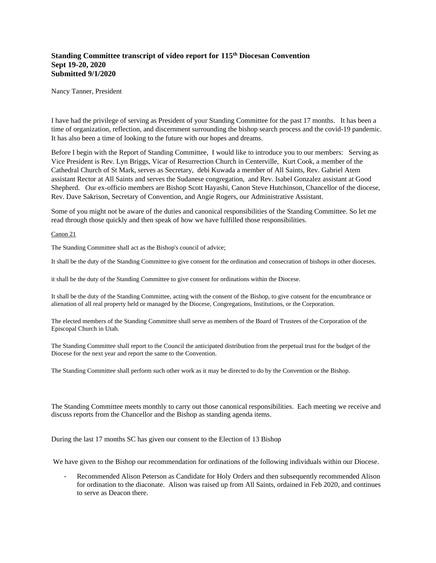## **Standing Committee transcript of video report for 115th Diocesan Convention Sept 19-20, 2020 Submitted 9/1/2020**

Nancy Tanner, President

I have had the privilege of serving as President of your Standing Committee for the past 17 months. It has been a time of organization, reflection, and discernment surrounding the bishop search process and the covid-19 pandemic. It has also been a time of looking to the future with our hopes and dreams.

Before I begin with the Report of Standing Committee, I would like to introduce you to our members: Serving as Vice President is Rev. Lyn Briggs, Vicar of Resurrection Church in Centerville, Kurt Cook, a member of the Cathedral Church of St Mark, serves as Secretary, debi Kuwada a member of All Saints, Rev. Gabriel Atem assistant Rector at All Saints and serves the Sudanese congregation, and Rev. Isabel Gonzalez assistant at Good Shepherd. Our ex-officio members are Bishop Scott Hayashi, Canon Steve Hutchinson, Chancellor of the diocese, Rev. Dave Sakrison, Secretary of Convention, and Angie Rogers, our Administrative Assistant.

Some of you might not be aware of the duties and canonical responsibilities of the Standing Committee. So let me read through those quickly and then speak of how we have fulfilled those responsibilities.

## Canon 21

The Standing Committee shall act as the Bishop's council of advice;

It shall be the duty of the Standing Committee to give consent for the ordination and consecration of bishops in other dioceses.

it shall be the duty of the Standing Committee to give consent for ordinations within the Diocese.

It shall be the duty of the Standing Committee, acting with the consent of the Bishop, to give consent for the encumbrance or alienation of all real property held or managed by the Diocese, Congregations, Institutions, or the Corporation.

The elected members of the Standing Committee shall serve as members of the Board of Trustees of the Corporation of the Episcopal Church in Utah.

The Standing Committee shall report to the Council the anticipated distribution from the perpetual trust for the budget of the Diocese for the next year and report the same to the Convention.

The Standing Committee shall perform such other work as it may be directed to do by the Convention or the Bishop.

The Standing Committee meets monthly to carry out those canonical responsibilities. Each meeting we receive and discuss reports from the Chancellor and the Bishop as standing agenda items.

During the last 17 months SC has given our consent to the Election of 13 Bishop

We have given to the Bishop our recommendation for ordinations of the following individuals within our Diocese.

Recommended Alison Peterson as Candidate for Holy Orders and then subsequently recommended Alison for ordination to the diaconate. Alison was raised up from All Saints, ordained in Feb 2020, and continues to serve as Deacon there.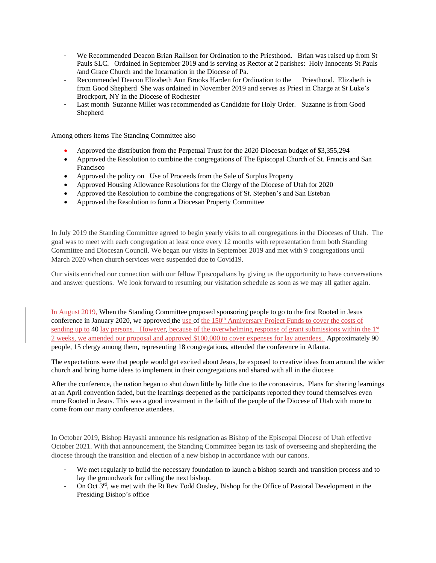- We Recommended Deacon Brian Rallison for Ordination to the Priesthood. Brian was raised up from St Pauls SLC. Ordained in September 2019 and is serving as Rector at 2 parishes: Holy Innocents St Pauls /and Grace Church and the Incarnation in the Diocese of Pa.
- Recommended Deacon Elizabeth Ann Brooks Harden for Ordination to the Priesthood. Elizabeth is from Good Shepherd She was ordained in November 2019 and serves as Priest in Charge at St Luke's Brockport, NY in the Diocese of Rochester
- Last month Suzanne Miller was recommended as Candidate for Holy Order. Suzanne is from Good Shepherd

Among others items The Standing Committee also

- Approved the distribution from the Perpetual Trust for the 2020 Diocesan budget of \$3,355,294
- Approved the Resolution to combine the congregations of The Episcopal Church of St. Francis and San Francisco
- Approved the policy on Use of Proceeds from the Sale of Surplus Property
- Approved Housing Allowance Resolutions for the Clergy of the Diocese of Utah for 2020
- Approved the Resolution to combine the congregations of St. Stephen's and San Esteban
- Approved the Resolution to form a Diocesan Property Committee

In July 2019 the Standing Committee agreed to begin yearly visits to all congregations in the Dioceses of Utah. The goal was to meet with each congregation at least once every 12 months with representation from both Standing Committee and Diocesan Council. We began our visits in September 2019 and met with 9 congregations until March 2020 when church services were suspended due to Covid19.

Our visits enriched our connection with our fellow Episcopalians by giving us the opportunity to have conversations and answer questions. We look forward to resuming our visitation schedule as soon as we may all gather again.

In August 2019, When the Standing Committee proposed sponsoring people to go to the first Rooted in Jesus conference in January 2020, we approved the use of the 150<sup>th</sup> Anniversary Project Funds to cover the costs of sending up to 40 lay persons. However, because of the overwhelming response of grant submissions within the  $1<sup>st</sup>$ 2 weeks, we amended our proposal and approved \$100,000 to cover expenses for lay attendees. Approximately 90 people, 15 clergy among them, representing 18 congregations, attended the conference in Atlanta.

The expectations were that people would get excited about Jesus, be exposed to creative ideas from around the wider church and bring home ideas to implement in their congregations and shared with all in the diocese

After the conference, the nation began to shut down little by little due to the coronavirus. Plans for sharing learnings at an April convention faded, but the learnings deepened as the participants reported they found themselves even more Rooted in Jesus. This was a good investment in the faith of the people of the Diocese of Utah with more to come from our many conference attendees.

In October 2019, Bishop Hayashi announce his resignation as Bishop of the Episcopal Diocese of Utah effective October 2021. With that announcement, the Standing Committee began its task of overseeing and shepherding the diocese through the transition and election of a new bishop in accordance with our canons.

- We met regularly to build the necessary foundation to launch a bishop search and transition process and to lay the groundwork for calling the next bishop.
- On Oct 3<sup>rd</sup>, we met with the Rt Rev Todd Ousley, Bishop for the Office of Pastoral Development in the Presiding Bishop's office